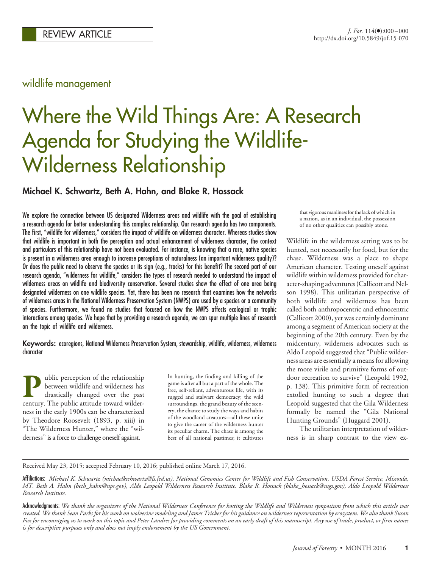## wildlife management

# Where the Wild Things Are: A Research Agenda for Studying the Wildlife-Wilderness Relationship

## **Michael K. Schwartz, Beth A. Hahn, and Blake R. Hossack**

We explore the connection between US designated Wilderness areas and wildlife with the goal of establishing a research agenda for better understanding this complex relationship. Our research agenda has two components. The first, "wildlife for wilderness," considers the impact of wildlife on wilderness character. Whereas studies show that wildlife is important in both the perception and actual enhancement of wilderness character, the context and particulars of this relationship have not been evaluated. For instance, is knowing that a rare, native species is present in a wilderness area enough to increase perceptions of naturalness (an important wilderness quality)? Or does the public need to observe the species or its sign (e.g., tracks) for this benefit? The second part of our research agenda, "wilderness for wildlife," considers the types of research needed to understand the impact of wilderness areas on wildlife and biodiversity conservation. Several studies show the effect of one area being designated wilderness on one wildlife species. Yet, there has been no research that examines how the networks of wilderness areas in the National Wilderness Preservation System (NWPS) are used by a species or a community of species. Furthermore, we found no studies that focused on how the NWPS affects ecological or trophic interactions among species. We hope that by providing a research agenda, we can spur multiple lines of research on the topic of wildlife and wilderness.

#### **Keywords:** ecoregions, National Wilderness Preservation System, stewardship, wildlife, wilderness, wilderness character

**Public perception of the relationship<br>between wildlife and wilderness has<br>drastically changed over the past<br>century. The public attitude toward wilder**between wildlife and wilderness has drastically changed over the past century. The public attitude toward wilderness in the early 1900s can be characterized by Theodore Roosevelt (1893, p. xiii) in "The Wilderness Hunter," where the "wilderness" is a force to challenge oneself against.

In hunting, the finding and killing of the game is after all but a part of the whole. The free, self-reliant, adventurous life, with its rugged and stalwart democracy; the wild surroundings, the grand beauty of the scenery, the chance to study the ways and habits of the woodland creatures—all these unite to give the career of the wilderness hunter its peculiar charm. The chase is among the best of all national pastimes; it cultivates

that vigorous manliness for the lack ofwhich in a nation, as in an individual, the possession of no other qualities can possibly atone.

Wildlife in the wilderness setting was to be hunted, not necessarily for food, but for the chase. Wilderness was a place to shape American character. Testing oneself against wildlife within wilderness provided for character-shaping adventures (Callicott and Nelson 1998). This utilitarian perspective of both wildlife and wilderness has been called both anthropocentric and ethnocentric (Callicott 2000), yet was certainly dominant among a segment of American society at the beginning of the 20th century. Even by the midcentury, wilderness advocates such as Aldo Leopold suggested that "Public wilderness areas are essentially a means for allowing the more virile and primitive forms of outdoor recreation to survive" (Leopold 1992, p. 138). This primitive form of recreation extolled hunting to such a degree that Leopold suggested that the Gila Wilderness formally be named the "Gila National Hunting Grounds" (Huggard 2001).

The utilitarian interpretation of wilderness is in sharp contrast to the view ex-

Received May 23, 2015; accepted February 10, 2016; published online March 17, 2016.

Affiliations: *Michael K. Schwartz (michaelkschwartz@fs.fed.us), National Genomics Center for Wildlife and Fish Conservation, USDA Forest Service, Missoula, MT. Beth A. Hahn (beth\_hahn@nps.gov), Aldo Leopold Wilderness Research Institute. Blake R. Hossack (blake\_hossack@usgs.gov), Aldo Leopold Wilderness Research Institute.*

Acknowledgments: *We thank the organizers of the National Wilderness Conference for hosting the Wildlife and Wilderness symposium from which this article was created. We thank Sean Parks for his work on wolverine modeling and James Tricker for his guidance on wilderness representation by ecosystem. We also thank Susan Fox for encouraging us to work on this topic and Peter Landres for providing comments on an early draft of this manuscript. Any use of trade, product, or firm names is for descriptive purposes only and does not imply endorsement by the US Government.*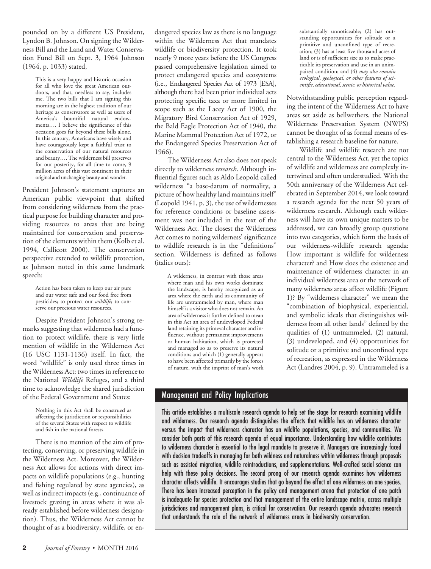pounded on by a different US President, Lyndon B. Johnson. On signing the Wilderness Bill and the Land and Water Conservation Fund Bill on Sept. 3, 1964 Johnson (1964, p. 1033) stated,

> This is a very happy and historic occasion for all who love the great American outdoors, and that, needless to say, includes me. The two bills that I am signing this morning are in the highest tradition of our heritage as conservators as well as users of America's bountiful natural endowments…. I believe the significance of this occasion goes far beyond these bills alone. In this century, Americans have wisely and have courageously kept a faithful trust to the conservation of our natural resources and beauty…. The wilderness bill preserves for our posterity, for all time to come, 9 million acres of this vast continent in their original and unchanging beauty and wonder.

President Johnson's statement captures an American public viewpoint that shifted from considering wilderness from the practical purpose for building character and providing resources to areas that are being maintained for conservation and preservation of the elements within them (Kolb et al. 1994, Callicott 2000). The conservation perspective extended to wildlife protection, as Johnson noted in this same landmark speech:

> Action has been taken to keep our air pure and our water safe and our food free from pesticides; to protect our *wildlife*; to conserve our precious water resources.

Despite President Johnson's strong remarks suggesting that wilderness had a function to protect wildlife, there is very little mention of wildlife in the Wilderness Act (16 USC 1131-1136) itself. In fact, the word "wildlife" is only used three times in the Wilderness Act: two times in reference to the National *Wildlife* Refuges, and a third time to acknowledge the shared jurisdiction of the Federal Government and States:

> Nothing in this Act shall be construed as affecting the jurisdiction or responsibilities of the several States with respect to wildlife and fish in the national forests.

There is no mention of the aim of protecting, conserving, or preserving wildlife in the Wilderness Act. Moreover, the Wilderness Act allows for actions with direct impacts on wildlife populations (e.g., hunting and fishing regulated by state agencies), as well as indirect impacts (e.g., continuance of livestock grazing in areas where it was already established before wilderness designation). Thus, the Wilderness Act cannot be thought of as a biodiversity, wildlife, or en-

dangered species law as there is no language within the Wilderness Act that mandates wildlife or biodiversity protection. It took nearly 9 more years before the US Congress passed comprehensive legislation aimed to protect endangered species and ecosystems (i.e., Endangered Species Act of 1973 [ESA], although there had been prior individual acts protecting specific taxa or more limited in scope such as the Lacey Act of 1900, the Migratory Bird Conservation Act of 1929, the Bald Eagle Protection Act of 1940, the Marine Mammal Protection Act of 1972, or the Endangered Species Preservation Act of 1966).

The Wilderness Act also does not speak directly to wilderness *research*. Although influential figures such as Aldo Leopold called wilderness "a base-datum of normality, a picture of how healthy land maintains itself" (Leopold 1941, p. 3), the use of wildernesses for reference conditions or baseline assessment was not included in the text of the Wilderness Act. The closest the Wilderness Act comes to noting wilderness' significance to wildlife research is in the "definitions" section. Wilderness is defined as follows (italics ours):

> A wilderness, in contrast with those areas where man and his own works dominate the landscape, is hereby recognized as an area where the earth and its community of life are untrammeled by man, where man himself is a visitor who does not remain. An area of wilderness is further defined to mean in this Act an area of undeveloped Federal land retaining its primeval character and influence, without permanent improvements or human habitation, which is protected and managed so as to preserve its natural conditions and which  $(1)$  generally appears to have been affected primarily by the forces of nature, with the imprint of man's work

substantially unnoticeable; (2) has outstanding opportunities for solitude or a primitive and unconfined type of recreation; (3) has at least five thousand acres of land or is of sufficient size as to make practicable its preservation and use in an unimpaired condition; and (4) *may also contain ecological, geological, or other features of scientific, educational, scenic, or historical value.*

Notwithstanding public perception regarding the intent of the Wilderness Act to have areas set aside as bellwethers, the National Wilderness Preservation System (NWPS) cannot be thought of as formal means of establishing a research baseline for nature.

Wildlife and wildlife research are not central to the Wilderness Act, yet the topics of wildlife and wilderness are complexly intertwined and often understudied. With the 50th anniversary of the Wilderness Act celebrated in September 2014, we look toward a research agenda for the next 50 years of wilderness research. Although each wilderness will have its own unique matters to be addressed, we can broadly group questions into two categories, which form the basis of our wilderness-wildlife research agenda: How important is wildlife for wilderness character? and How does the existence and maintenance of wilderness character in an individual wilderness area or the network of many wilderness areas affect wildlife (Figure 1)? By "wilderness character" we mean the "combination of biophysical, experiential, and symbolic ideals that distinguishes wilderness from all other lands" defined by the qualities of (1) untrammeled, (2) natural, (3) undeveloped, and (4) opportunities for solitude or a primitive and unconfined type of recreation, as expressed in the Wilderness Act (Landres 2004, p. 9). Untrammeled is a

#### Management and Policy Implications

This article establishes a multiscale research agenda to help set the stage for research examining wildlife and wilderness. Our research agenda distinguishes the effects that wildlife has on wilderness character versus the impact that wilderness character has on wildlife populations, species, and communities. We consider both parts of this research agenda of equal importance. Understanding how wildlife contributes to wilderness character is essential to the legal mandate to preserve it. Managers are increasingly faced with decision tradeoffs in managing for both wildness and naturalness within wilderness through proposals such as assisted migration, wildlife reintroductions, and supplementations. Well-crafted social science can help with these policy decisions. The second prong of our research agenda examines how wilderness character affects wildlife. It encourages studies that go beyond the effect of one wilderness on one species. There has been increased perception in the policy and management arena that protection of one patch is inadequate for species protection and that management of the entire landscape matrix, across multiple jurisdictions and management plans, is critical for conservation. Our research agenda advocates research that understands the role of the network of wilderness areas in biodiversity conservation.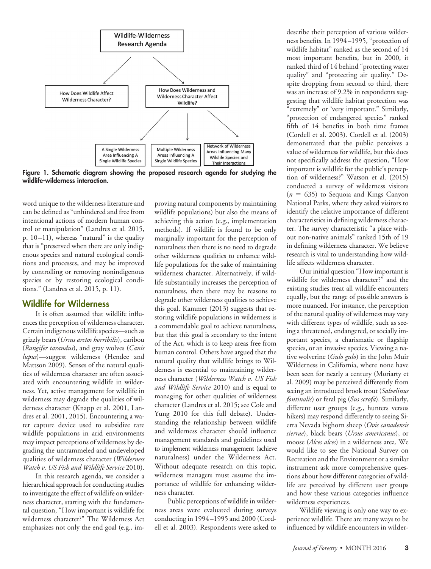

**Figure 1. Schematic diagram showing the proposed research agenda for studying the wildlife-wilderness interaction.**

word unique to the wilderness literature and can be defined as "unhindered and free from intentional actions of modern human control or manipulation" (Landres et al. 2015, p.  $10-11$ ), whereas "natural" is the quality that is "preserved when there are only indigenous species and natural ecological conditions and processes, and may be improved by controlling or removing nonindigenous species or by restoring ecological conditions." (Landres et al. 2015, p. 11).

#### **Wildlife for Wilderness**

It is often assumed that wildlife influences the perception of wilderness character. Certain indigenous wildlife species—such as grizzly bears (*Ursus arctos horribilis*), caribou (*Rangifer tarandus*), and gray wolves (*Canis lupus*)—suggest wilderness (Hendee and Mattson 2009). Senses of the natural qualities of wilderness character are often associated with encountering wildlife in wilderness. Yet, active management for wildlife in wilderness may degrade the qualities of wilderness character (Knapp et al. 2001, Landres et al. 2001, 2015). Encountering a water capture device used to subsidize rare wildlife populations in arid environments may impact perceptions of wilderness by degrading the untrammeled and undeveloped qualities of wilderness character (*Wilderness Watch v. US Fish and Wildlife Service* 2010).

In this research agenda, we consider a hierarchical approach for conducting studies to investigate the effect of wildlife on wilderness character, starting with the fundamental question, "How important is wildlife for wilderness character?" The Wilderness Act emphasizes not only the end goal (e.g., improving natural components by maintaining wildlife populations) but also the means of achieving this action (e.g., implementation methods). If wildlife is found to be only marginally important for the perception of naturalness then there is no need to degrade other wilderness qualities to enhance wildlife populations for the sake of maintaining wilderness character. Alternatively, if wildlife substantially increases the perception of naturalness, then there may be reasons to degrade other wilderness qualities to achieve this goal. Kammer (2013) suggests that restoring wildlife populations in wilderness is a commendable goal to achieve naturalness, but that this goal is secondary to the intent of the Act, which is to keep areas free from human control. Others have argued that the natural quality that wildlife brings to Wilderness is essential to maintaining wilderness character (*Wilderness Watch v. US Fish and Wildlife Service* 2010) and is equal to managing for other qualities of wilderness character (Landres et al. 2015; see Cole and Yung 2010 for this full debate). Understanding the relationship between wildlife and wilderness character should influence management standards and guidelines used to implement wilderness management (achieve naturalness) under the Wilderness Act. Without adequate research on this topic, wilderness managers must assume the importance of wildlife for enhancing wilderness character.

Public perceptions of wildlife in wilderness areas were evaluated during surveys conducting in 1994–1995 and 2000 (Cordell et al. 2003). Respondents were asked to describe their perception of various wilderness benefits. In 1994–1995, "protection of wildlife habitat" ranked as the second of 14 most important benefits, but in 2000, it ranked third of 14 behind "protecting water quality" and "protecting air quality." Despite dropping from second to third, there was an increase of 9.2% in respondents suggesting that wildlife habitat protection was "extremely" or 'very important." Similarly, "protection of endangered species" ranked fifth of 14 benefits in both time frames (Cordell et al. 2003). Cordell et al. (2003) demonstrated that the public perceives a value of wilderness for wildlife, but this does not specifically address the question, "How important is wildlife for the public's perception of wilderness?" Watson et al. (2015) conducted a survey of wilderness visitors  $(n = 635)$  to Sequoia and Kings Canyon National Parks, where they asked visitors to identify the relative importance of different characteristics in defining wilderness character. The survey characteristic "a place without non-native animals" ranked 15th of 19 in defining wilderness character. We believe research is vital to understanding how wildlife affects wilderness character.

Our initial question "How important is wildlife for wilderness character?" and the existing studies treat all wildlife encounters equally, but the range of possible answers is more nuanced. For instance, the perception of the natural quality of wilderness may vary with different types of wildlife, such as seeing a threatened, endangered, or socially important species, a charismatic or flagship species, or an invasive species. Viewing a native wolverine (*Gulo gulo*) in the John Muir Wilderness in California, where none have been seen for nearly a century (Moriarty et al. 2009) may be perceived differently from seeing an introduced brook trout (*Salvelinus fontinalis*) or feral pig (*Sus scrofa*). Similarly, different user groups (e.g., hunters versus hikers) may respond differently to seeing Sierra Nevada bighorn sheep (*Ovis canadensis sierrae*), black bears (*Ursus americanus*), or moose (*Alces alces*) in a wilderness area. We would like to see the National Survey on Recreation and the Environment or a similar instrument ask more comprehensive questions about how different categories of wildlife are perceived by different user groups and how these various categories influence wilderness experiences.

Wildlife viewing is only one way to experience wildlife. There are many ways to be influenced by wildlife encounters in wilder-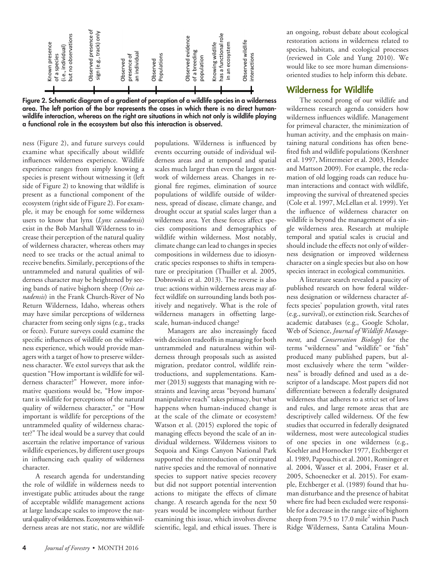

**Figure 2. Schematic diagram of a gradient of perception of a wildlife species in a wilderness area. The left portion of the bar represents the cases in which there is no direct humanwildlife interaction, whereas on the right are situations in which not only is wildlife playing a functional role in the ecosystem but also this interaction is observed.**

ness (Figure 2), and future surveys could examine what specifically about wildlife influences wilderness experience. Wildlife experience ranges from simply knowing a species is present without witnessing it (left side of Figure 2) to knowing that wildlife is present as a functional component of the ecosystem (right side of Figure 2). For example, it may be enough for some wilderness users to know that lynx (*Lynx canadensis*) exist in the Bob Marshall Wilderness to increase their perception of the natural quality of wilderness character, whereas others may need to see tracks or the actual animal to receive benefits. Similarly, perceptions of the untrammeled and natural qualities of wilderness character may be heightened by seeing bands of native bighorn sheep (*Ovis canadensis*) in the Frank Church-River of No Return Wilderness, Idaho, whereas others may have similar perceptions of wilderness character from seeing only signs (e.g., tracks or feces). Future surveys could examine the specific influences of wildlife on the wilderness experience, which would provide managers with a target of how to preserve wilderness character. We extol surveys that ask the question "How important is wildlife for wilderness character?" However, more informative questions would be, "How important is wildlife for perceptions of the natural quality of wilderness character," or "How important is wildlife for perceptions of the untrammeled quality of wilderness character?" The ideal would be a survey that could ascertain the relative importance of various wildlife experiences, by different user groups in influencing each quality of wilderness character.

A research agenda for understanding the role of wildlife in wilderness needs to investigate public attitudes about the range of acceptable wildlife management actions at large landscape scales to improve the natural quality of wilderness. Ecosystems within wilderness areas are not static, nor are wildlife

populations. Wilderness is influenced by events occurring outside of individual wilderness areas and at temporal and spatial scales much larger than even the largest network of wilderness areas. Changes in regional fire regimes, elimination of source populations of wildlife outside of wilderness, spread of disease, climate change, and drought occur at spatial scales larger than a wilderness area. Yet these forces affect species compositions and demographics of wildlife within wilderness. Most notably, climate change can lead to changes in species compositions in wilderness due to idiosyncratic species responses to shifts in temperature or precipitation (Thuiller et al. 2005, Dobrowski et al. 2013). The reverse is also true: actions within wilderness areas may affect wildlife on surrounding lands both positively and negatively. What is the role of wilderness managers in offsetting largescale, human-induced change?

Managers are also increasingly faced with decision tradeoffs in managing for both untrammeled and naturalness within wilderness through proposals such as assisted migration, predator control, wildlife reintroductions, and supplementations. Kammer (2013) suggests that managing with restraints and leaving areas "beyond humans' manipulative reach" takes primacy, but what happens when human-induced change is at the scale of the climate or ecosystem? Watson et al. (2015) explored the topic of managing effects beyond the scale of an individual wilderness. Wilderness visitors to Sequoia and Kings Canyon National Park supported the reintroduction of extirpated native species and the removal of nonnative species to support native species recovery but did not support potential intervention actions to mitigate the effects of climate change. A research agenda for the next 50 years would be incomplete without further examining this issue, which involves diverse scientific, legal, and ethical issues. There is

an ongoing, robust debate about ecological restoration actions in wilderness related to species, habitats, and ecological processes (reviewed in Cole and Yung 2010). We would like to see more human dimensionsoriented studies to help inform this debate.

## **Wilderness for Wildlife**

The second prong of our wildlife and wilderness research agenda considers how wilderness influences wildlife. Management for primeval character, the minimization of human activity, and the emphasis on maintaining natural conditions has often benefited fish and wildlife populations (Kershner et al. 1997, Mittermeier et al. 2003, Hendee and Mattson 2009). For example, the reclamation of old logging roads can reduce human interactions and contact with wildlife, improving the survival of threatened species (Cole et al. 1997, McLellan et al. 1999). Yet the influence of wilderness character on wildlife is beyond the management of a single wilderness area. Research at multiple temporal and spatial scales is crucial and should include the effects not only of wilderness designation or improved wilderness character on a single species but also on how species interact in ecological communities.

A literature search revealed a paucity of published research on how federal wilderness designation or wilderness character affects species' population growth, vital rates (e.g., survival), or extinction risk. Searches of academic databases (e.g., Google Scholar, Web of Science, *Journal of Wildlife Management,* and *Conservation Biology*) for the terms "wilderness" and "wildlife" or "fish" produced many published papers, but almost exclusively where the term "wilderness" is broadly defined and used as a descriptor of a landscape. Most papers did not differentiate between a federally designated wilderness that adheres to a strict set of laws and rules, and large remote areas that are descriptively called wilderness. Of the few studies that occurred in federally designated wilderness, most were autecological studies of one species in one wilderness (e.g., Koehler and Hornocker 1977, Etchberger et al. 1989, Papouchis et al. 2001, Rominger et al. 2004, Wasser et al. 2004, Fraser et al. 2005, Schoenecker et al. 2015). For example, Etchberger et al. (1989) found that human disturbance and the presence of habitat where fire had been excluded were responsible for a decrease in the range size of bighorn sheep from 79.5 to  $17.0$  mile<sup>2</sup> within Pusch Ridge Wilderness, Santa Catalina Moun-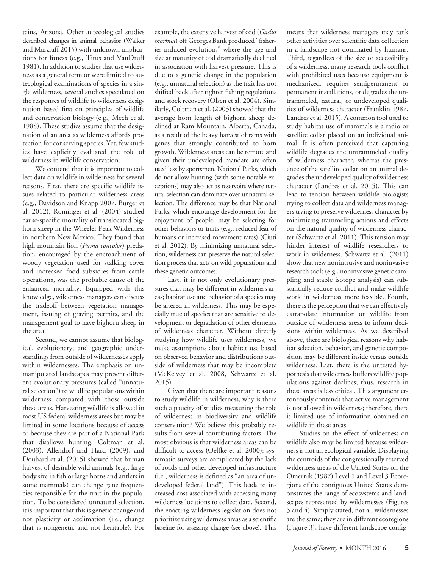tains, Arizona. Other autecological studies described changes in animal behavior (Walker and Marzluff 2015) with unknown implications for fitness (e.g., Titus and VanDruff 1981). In addition to studies that use wilderness as a general term or were limited to autecological examinations of species in a single wilderness, several studies speculated on the responses of wildlife to wilderness designation based first on principles of wildlife and conservation biology (e.g., Mech et al. 1988). These studies assume that the designation of an area as wilderness affords protection for conserving species. Yet, few studies have explicitly evaluated the role of wilderness in wildlife conservation.

We contend that it is important to collect data on wildlife in wilderness for several reasons. First, there are specific wildlife issues related to particular wilderness areas (e.g., Davidson and Knapp 2007, Burger et al. 2012). Rominger et al. (2004) studied cause-specific mortality of translocated bighorn sheep in the Wheeler Peak Wilderness in northern New Mexico. They found that high mountain lion (*Puma concolor*) predation, encouraged by the encroachment of woody vegetation used for stalking cover and increased food subsidies from cattle operations, was the probable cause of the enhanced mortality. Equipped with this knowledge, wilderness managers can discuss the tradeoff between vegetation management, issuing of grazing permits, and the management goal to have bighorn sheep in the area.

Second, we cannot assume that biological, evolutionary, and geographic understandings from outside of wildernesses apply within wildernesses. The emphasis on unmanipulated landscapes may present different evolutionary pressures (called "unnatural selection") to wildlife populations within wilderness compared with those outside these areas. Harvesting wildlife is allowed in most US federal wilderness areas but may be limited in some locations because of access or because they are part of a National Park that disallows hunting. Coltman et al. (2003), Allendorf and Hard (2009), and Douhard et al. (2015) showed that human harvest of desirable wild animals (e.g., large body size in fish or large horns and antlers in some mammals) can change gene frequencies responsible for the trait in the population. To be considered unnatural selection, it is important that this is genetic change and not plasticity or acclimation (i.e., change that is nongenetic and not heritable). For example, the extensive harvest of cod (*Gadus morhua*) off Georges Bank produced "fisheries-induced evolution," where the age and size at maturity of cod dramatically declined in association with harvest pressure. This is due to a genetic change in the population (e.g., unnatural selection) as the trait has not shifted back after tighter fishing regulations and stock recovery (Olsen et al. 2004). Similarly, Coltman et al. (2003) showed that the average horn length of bighorn sheep declined at Ram Mountain, Alberta, Canada, as a result of the heavy harvest of rams with genes that strongly contributed to horn growth. Wilderness areas can be remote and given their undeveloped mandate are often used less by sportsmen. National Parks, which do not allow hunting (with some notable exceptions) may also act as reservoirs where natural selection can dominate over unnatural selection. The difference may be that National Parks, which encourage development for the enjoyment of people, may be selecting for other behaviors or traits (e.g., reduced fear of humans or increased movement rates) (Ciuti et al. 2012). By minimizing unnatural selection, wilderness can preserve the natural selection process that acts on wild populations and these genetic outcomes.

Last, it is not only evolutionary pressures that may be different in wilderness areas; habitat use and behavior of a species may be altered in wilderness. This may be especially true of species that are sensitive to development or degradation of other elements of wilderness character. Without directly studying how wildlife uses wilderness, we make assumptions about habitat use based on observed behavior and distributions outside of wilderness that may be incomplete (McKelvey et al. 2008, Schwartz et al. 2015).

Given that there are important reasons to study wildlife in wilderness, why is there such a paucity of studies measuring the role of wilderness in biodiversity and wildlife conservation? We believe this probably results from several contributing factors. The most obvious is that wilderness areas can be difficult to access (Oelfke et al. 2000): systematic surveys are complicated by the lack of roads and other developed infrastructure (i.e., wilderness is defined as "an area of undeveloped federal land"). This leads to increased cost associated with accessing many wilderness locations to collect data. Second, the enacting wilderness legislation does not prioritize using wilderness areas as a scientific baseline for assessing change (see above). This

means that wilderness managers may rank other activities over scientific data collection in a landscape not dominated by humans. Third, regardless of the size or accessibility of a wilderness, many research tools conflict with prohibited uses because equipment is mechanized, requires semipermanent or permanent installations, or degrades the untrammeled, natural, or undeveloped qualities of wilderness character (Franklin 1987, Landres et al. 2015). A common tool used to study habitat use of mammals is a radio or satellite collar placed on an individual animal. It is often perceived that capturing wildlife degrades the untrammeled quality of wilderness character, whereas the presence of the satellite collar on an animal degrades the undeveloped quality of wilderness character (Landres et al. 2015). This can lead to tension between wildlife biologists trying to collect data and wilderness managers trying to preserve wilderness character by minimizing trammeling actions and effects on the natural quality of wilderness character (Schwartz et al. 2011). This tension may hinder interest of wildlife researchers to work in wilderness. Schwartz et al. (2011) show that new nonintrusive and noninvasive research tools (e.g., noninvasive genetic sampling and stable isotope analysis) can substantially reduce conflict and make wildlife work in wilderness more feasible. Fourth, there is the perception that we can effectively extrapolate information on wildlife from outside of wilderness areas to inform decisions within wilderness. As we described above, there are biological reasons why habitat selection, behavior, and genetic composition may be different inside versus outside wilderness. Last, there is the untested hypothesis that wilderness buffers wildlife populations against declines; thus, research in these areas is less critical. This argument erroneously contends that active management is not allowed in wilderness; therefore, there is limited use of information obtained on wildlife in these areas.

Studies on the effect of wilderness on wildlife also may be limited because wilderness is not an ecological variable. Displaying the centroids of the congressionally reserved wilderness areas of the United States on the Omernik (1987) Level 1 and Level 3 Ecoregions of the contiguous United States demonstrates the range of ecosystems and landscapes represented by wildernesses (Figures 3 and 4). Simply stated, not all wildernesses are the same; they are in different ecoregions (Figure 3), have different landscape config-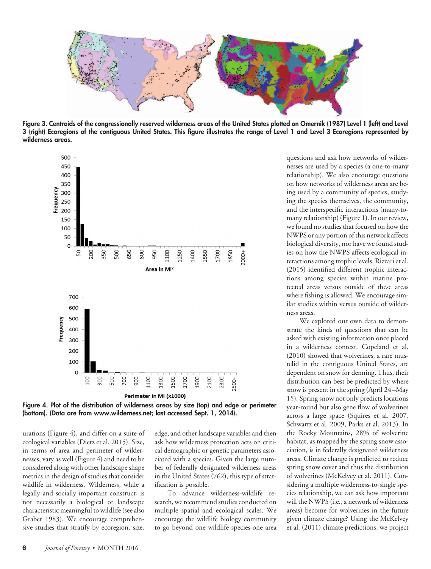

**Figure 3. Centroids of the congressionally reserved wilderness areas of the United States plotted on Omernik (1987) Level 1 (left) and Level 3 (right) Ecoregions of the contiguous United States. This figure illustrates the range of Level 1 and Level 3 Ecoregions represented by wilderness areas.**



**Figure 4. Plot of the distribution of wilderness areas by size (top) and edge or perimeter (bottom). (Data are from [www.wilderness.net;](http://www.wilderness.net) last accessed Sept. 1, 2014).**

urations (Figure 4), and differ on a suite of ecological variables (Dietz et al. 2015). Size, in terms of area and perimeter of wildernesses, vary as well (Figure 4) and need to be considered along with other landscape shape metrics in the design of studies that consider wildlife in wilderness. Wilderness, while a legally and socially important construct, is not necessarily a biological or landscape characteristic meaningful to wildlife (see also Graber 1983). We encourage comprehensive studies that stratify by ecoregion, size,

edge, and other landscape variables and then ask how wilderness protection acts on critical demographic or genetic parameters associated with a species. Given the large number of federally designated wilderness areas in the United States (762), this type of stratification is possible.

To advance wilderness-wildlife research, we recommend studies conducted on multiple spatial and ecological scales. We encourage the wildlife biology community to go beyond one wildlife species-one area

questions and ask how networks of wildernesses are used by a species (a one-to-many relationship). We also encourage questions on how networks of wilderness areas are being used by a community of species, studying the species themselves, the community, and the interspecific interactions (many-tomany relationship) (Figure 1). In our review, we found no studies that focused on how the NWPS or any portion of this network affects biological diversity, nor have we found studies on how the NWPS affects ecological interactions among trophic levels. Rizzari et al. (2015) identified different trophic interactions among species within marine protected areas versus outside of these areas where fishing is allowed. We encourage similar studies within versus outside of wilderness areas.

We explored our own data to demonstrate the kinds of questions that can be asked with existing information once placed in a wilderness context. Copeland et al. (2010) showed that wolverines, a rare mustelid in the contiguous United States, are dependent on snow for denning. Thus, their distribution can best be predicted by where snow is present in the spring (April 24–May 15). Spring snow not only predicts locations year-round but also gene flow of wolverines across a large space (Squires et al. 2007, Schwartz et al. 2009, Parks et al. 2013). In the Rocky Mountains, 28% of wolverine habitat, as mapped by the spring snow association, is in federally designated wilderness areas. Climate change is predicted to reduce spring snow cover and thus the distribution of wolverines (McKelvey et al. 2011). Considering a multiple wilderness-to-single species relationship, we can ask how important will the NWPS (i.e., a network of wilderness areas) become for wolverines in the future given climate change? Using the McKelvey et al. (2011) climate predictions, we project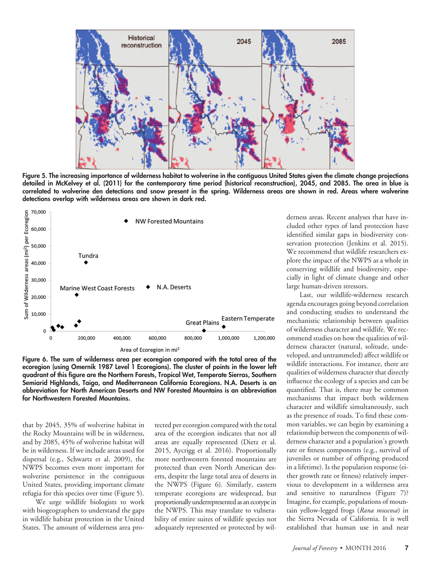

**Figure 5. The increasing importance of wilderness habitat to wolverine in the contiguous United States given the climate change projections detailed in McKelvey et al. (2011) for the contemporary time period (historical reconstruction), 2045, and 2085. The area in blue is correlated to wolverine den detections and snow present in the spring. Wilderness areas are shown in red. Areas where wolverine detections overlap with wilderness areas are shown in dark red.**



**Figure 6. The sum of wilderness area per ecoregion compared with the total area of the ecoregion (using Omernik 1987 Level 1 Ecoregions). The cluster of points in the lower left quadrant of this figure are the Northern Forests, Tropical Wet, Temperate Sierras, Southern Semiarid Highlands, Taiga, and Mediterranean California Ecoregions. N.A. Deserts is an abbreviation for North American Deserts and NW Forested Mountains is an abbreviation for Northwestern Forested Mountains.**

that by 2045, 35% of wolverine habitat in the Rocky Mountains will be in wilderness, and by 2085, 45% of wolverine habitat will be in wilderness. If we include areas used for dispersal (e.g., Schwartz et al. 2009), the NWPS becomes even more important for wolverine persistence in the contiguous United States, providing important climate refugia for this species over time (Figure 5).

We urge wildlife biologists to work with biogeographers to understand the gaps in wildlife habitat protection in the United States. The amount of wilderness area pro-

tected per ecoregion compared with the total area of the ecoregion indicates that not all areas are equally represented (Dietz et al. 2015, Aycrigg et al. 2016). Proportionally more northwestern forested mountains are protected than even North American deserts, despite the large total area of deserts in the NWPS (Figure 6). Similarly, eastern temperate ecoregions are widespread, but proportionally underrepresented as an ecotype in the NWPS. This may translate to vulnerability of entire suites of wildlife species not adequately represented or protected by wilderness areas. Recent analyses that have included other types of land protection have identified similar gaps in biodiversity conservation protection (Jenkins et al. 2015). We recommend that wildlife researchers explore the impact of the NWPS as a whole in conserving wildlife and biodiversity, especially in light of climate change and other large human-driven stressors.

Last, our wildlife-wilderness research agenda encourages going beyond correlation and conducting studies to understand the mechanistic relationship between qualities of wilderness character and wildlife. We recommend studies on how the qualities of wilderness character (natural, solitude, undeveloped, and untrammeled) affect wildlife or wildlife interactions. For instance, there are qualities of wilderness character that directly influence the ecology of a species and can be quantified. That is, there may be common mechanisms that impact both wilderness character and wildlife simultaneously, such as the presence of roads. To find these common variables, we can begin by examining a relationship between the components of wilderness character and a population's growth rate or fitness components (e.g., survival of juveniles or number of offspring produced in a lifetime). Is the population response (either growth rate or fitness) relatively impervious to development in a wilderness area and sensitive to naturalness (Figure 7)? Imagine, for example, populations of mountain yellow-legged frogs (*Rana muscosa*) in the Sierra Nevada of California. It is well established that human use in and near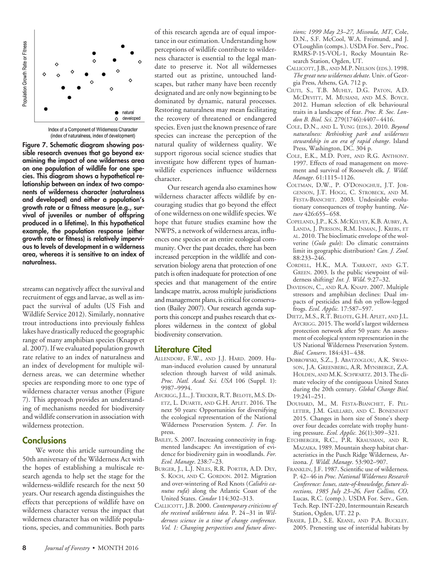



Index of a Component of Wilderness Character (index of naturalness, index of development)

natural developed

**Figure 7. Schematic diagram showing possible research avenues that go beyond examining the impact of one wilderness area on one population of wildlife for one species. This diagram shows a hypothetical relationship between an index of two components of wilderness character (naturalness and developed) and either a population's growth rate or a fitness measure (e.g., survival of juveniles or number of offspring produced in a lifetime). In this hypothetical example, the population response (either growth rate or fitness) is relatively impervious to levels of development in a wilderness area, whereas it is sensitive to an index of naturalness.**

streams can negatively affect the survival and recruitment of eggs and larvae, as well as impact the survival of adults (US Fish and Wildlife Service 2012). Similarly, nonnative trout introductions into previously fishless lakes have drastically reduced the geographic range of many amphibian species (Knapp et al. 2007). If we evaluated population growth rate relative to an index of naturalness and an index of development for multiple wilderness areas, we can determine whether species are responding more to one type of wilderness character versus another (Figure 7). This approach provides an understanding of mechanisms needed for biodiversity and wildlife conservation in association with wilderness protection.

#### **Conclusions**

We wrote this article surrounding the 50th anniversary of the Wilderness Act with the hopes of establishing a multiscale research agenda to help set the stage for the wilderness-wildlife research for the next 50 years. Our research agenda distinguishes the effects that perceptions of wildlife have on wilderness character versus the impact that wilderness character has on wildlife populations, species, and communities. Both parts

of this research agenda are of equal importance in our estimation. Understanding how perceptions of wildlife contribute to wilderness character is essential to the legal mandate to preserve it. Not all wildernesses started out as pristine, untouched landscapes, but rather many have been recently designated and are only now beginning to be dominated by dynamic, natural processes. Restoring naturalness may mean facilitating the recovery of threatened or endangered species. Even just the known presence of rare species can increase the perception of the natural quality of wilderness quality. We support rigorous social science studies that investigate how different types of humanwildlife experiences influence wilderness character.

Our research agenda also examines how wilderness character affects wildlife by encouraging studies that go beyond the effect of one wilderness on one wildlife species. We hope that future studies examine how the NWPS, a network of wilderness areas, influences one species or an entire ecological community. Over the past decades, there has been increased perception in the wildlife and conservation biology arena that protection of one patch is often inadequate for protection of one species and that management of the entire landscape matrix, across multiple jurisdictions and management plans, is critical for conservation (Bailey 2007). Our research agenda supports this concept and pushes research that explores wilderness in the context of global biodiversity conservation.

### **Literature Cited**

- ALLENDORF, F.W., AND J.J. HARD. 2009. Human-induced evolution caused by unnatural selection through harvest of wild animals. *Proc. Natl. Acad. Sci. USA* 106 (Suppl. 1): 9987–9994.
- AYCRIGG, J.L., J. TRICKER, R.T. BELOTE, M.S. DI-ETZ, L. DUARTE, AND G.H. APLET. 2016. The next 50 years: Opportunities for diversifying the ecological representation of the National Wilderness Preservation System. *J. For.* In press.
- BAILEY, S. 2007. Increasing connectivity in fragmented landscapes: An investigation of evidence for biodiversity gain in woodlands. *For. Ecol. Manage*. 238:7–23.
- BURGER, J., L.J. NILES, R.R. PORTER, A.D. DEY, S. KOCH, AND C. GORDON. 2012. Migration and over-wintering of Red Knots (*Calidris canutus rufa*) along the Atlantic Coast of the United States. *Condor* 114:302–313.
- CALLICOTT, J.B. 2000. *Contemporary criticisms of the received wilderness idea.* P. 24–31 in *Wilderness science in a time of change conference. Vol. 1: Changing perspectives and future direc-*

*tions; 1999 May 23–27, Missoula, MT*, Cole, D.N., S.F. McCool, W.A. Freimund, and J. O'Loughlin (comps.). USDA For. Serv., Proc. RMRS-P-15-VOL-1, Rocky Mountain Research Station, Ogden, UT.

- CALLICOTT, J.B., AND M.P. NELSON (EDS.). 1998. *The great new wilderness debate*. Univ. of Georgia Press, Athens, GA. 712 p.
- CIUTI, S., T.B. MUHLY, D.G. PATON, A.D. MCDEVITT, M. MUSIANI, AND M.S. BOYCE. 2012. Human selection of elk behavioural traits in a landscape of fear. *Proc. R. Soc. London B. Biol. Sci*. 279(1746):4407–4416.
- COLE, D.N., AND L. YUNG (EDS.). 2010. *Beyond naturalness: Rethinking park and wilderness stewardship in an era of rapid change*. Island Press, Washington, DC. 304 p.
- COLE, E.K., M.D. POPE, AND R.G. ANTHONY. 1997. Effects of road management on movement and survival of Roosevelt elk. *J. Wildl. Manage*. 61:1115–1126.
- COLTMAN, D.W., P. O'DONOGHUE, J.T. JOR-GENSON, J.T. HOGG, C. STROBECK, AND M. FESTA-BIANCHET. 2003. Undesirable evolutionary consequences of trophy hunting. *Nature* 426:655–658.
- COPELAND, J.P., K.S. MCKELVEY, K.B. AUBRY, A. LANDA, J. PERSSON, R.M. INMAN, J. KREBS, ET AL. 2010. The bioclimatic envelope of the wolverine (*Gulo gulo*): Do climatic constraints limit its geographic distribution? *Can. J. Zool*. 88:233–246.
- CORDELL, H.K., M.A. TARRANT, AND G.T. GREEN. 2003. Is the public viewpoint of wilderness shifting? *Int. J. Wild*. 9:27–32.
- DAVIDSON, C., AND R.A. KNAPP. 2007. Multiple stressors and amphibian declines: Dual impacts of pesticides and fish on yellow-legged frogs. *Ecol. Applic.* 17:587–597.
- DIETZ, M.S., R.T. BELOTE, G.H. APLET, AND J.L. AYCRIGG. 2015. The world's largest wilderness protection network after 50 years: An assessment of ecological system representation in the US National Wilderness Preservation System. *Biol. Conserv*. 184:431–438.
- DOBROWSKI, S.Z., J. ABATZOGLOU, A.K. SWAN-SON, J.A. GREENBERG, A.R. MYNSBERGE, Z.A. HOLDEN, AND M.K. SCHWARTZ. 2013. The climate velocity of the contiguous United States during the 20th century. *Global Change Biol*. 19:241–251.
- DOUHARD, M., M. FESTA-BIANCHET, F. PEL-LETIER, J.M. GAILLARD, AND C. BONENFANT 2015. Changes in horn size of Stone's sheep over four decades correlate with trophy hunting pressure. *Ecol. Applic.* 26(1):309–321.
- ETCHBERGER, R.C., P.R. KRAUSMAN, AND R. MAZAIKA. 1989. Mountain sheep habitat characteristics in the Pusch Ridge Wilderness, Arizona. *J. Wildl. Manage*. 53:902–907.
- FRANKLIN, J.F. 1987. Scientific use of wilderness. P. 42–46 in *Proc. National Wilderness Research Conference: Issues, state-of-knowledge, future directions, 1985 July 23–26, Fort Collins, CO,* Lucas, R.C. (comp.). USDA For*.* Serv., Gen. Tech. Rep. INT-220, Intermountain Research Station, Ogden, UT. 22 p.
- FRASER, J.D., S.E. KEANE, AND P.A. BUCKLEY. 2005. Prenesting use of intertidal habitats by